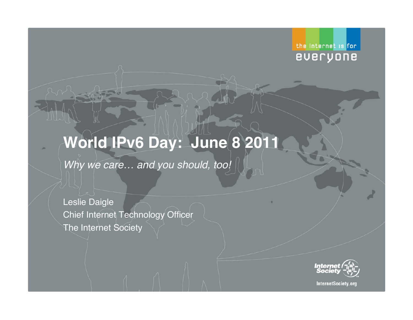#### the Internet is for everyone

# **World IPv6 Day: June 8 2011**

*Why we care… and you should, too!*

Leslie Daigle Chief Internet Technology Officer The Internet Society



InternetSociety.org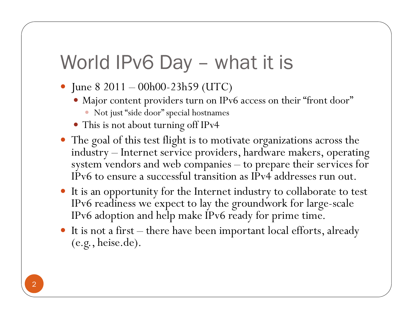# World IPv6 Day - what it is

- June  $8\ 2011 00h00 23h59$  (UTC)
	- Major content providers turn on IPv6 access on their "front door"
		- Not just "side door" special hostnames
	- This is not about turning off IPv4
- The goal of this test flight is to motivate organizations across the industry – Internet service providers, hardware makers, operating system vendors and web companies – to prepare their services for IPv6 to ensure a successful transition as IPv4 addresses run out.
- It is an opportunity for the Internet industry to collaborate to test IPv6 readiness we expect to lay the groundwork for large-scale IPv6 adoption and help make IPv6 ready for prime time.
- It is not a first there have been important local efforts, already (e.g., heise.de).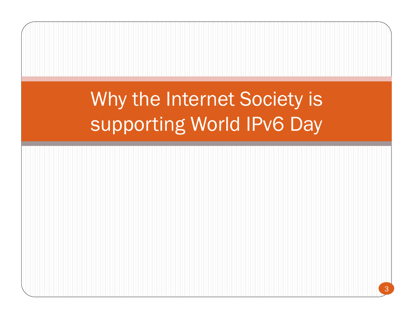# Why the Internet Society is supporting World IPv6 Day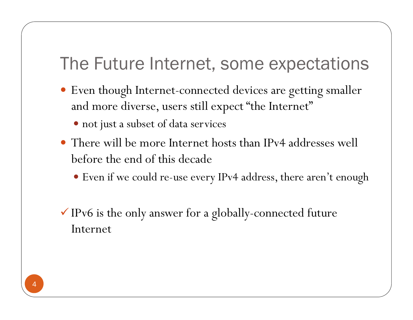### The Future Internet, some expectations

- Even though Internet-connected devices are getting smaller and more diverse, users still expect "the Internet"
	- not just a subset of data services
- There will be more Internet hosts than IPv4 addresses well before the end of this decade
	- Even if we could re-use every IPv4 address, there aren't enough
- $\checkmark$  IPv6 is the only answer for a globally-connected future Internet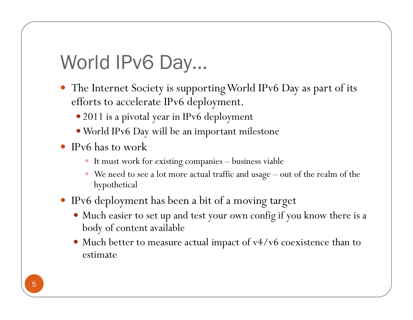# World IPv6 Day…

- The Internet Society is supporting World IPv6 Day as part of its efforts to accelerate IPv6 deployment.
	- 2011 is a pivotal year in IPv6 deployment
	- World IPv6 Day will be an important milestone
- IPv6 has to work
	- It must work for existing companies business viable
	- We need to see a lot more actual traffic and usage out of the realm of the hypothetical
- IPv6 deployment has been a bit of a moving target
	- Much easier to set up and test your own config if you know there is a body of content available
	- Much better to measure actual impact of v4/v6 coexistence than to estimate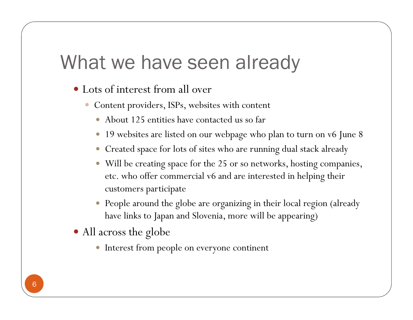## What we have seen already

- Lots of interest from all over
	- Content providers, ISPs, websites with content
		- About 125 entities have contacted us so far
		- 19 websites are listed on our webpage who plan to turn on v6 June 8
		- Created space for lots of sites who are running dual stack already
		- Will be creating space for the 25 or so networks, hosting companies, etc. who offer commercial v6 and are interested in helping their customers participate
		- People around the globe are organizing in their local region (already have links to Japan and Slovenia, more will be appearing)
- All across the globe
	- Interest from people on everyone continent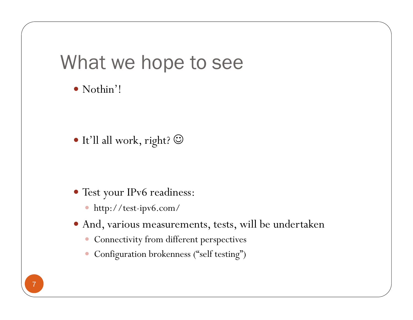## What we hope to see

Nothin'!

It'll all work, right?

- Test your IPv6 readiness:
	- http://test-ipv6.com/
- And, various measurements, tests, will be undertaken
	- Connectivity from different perspectives
	- Configuration brokenness ("self testing")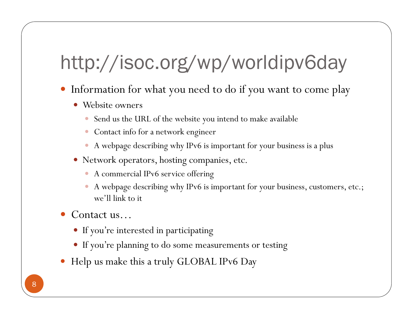# http://isoc.org/wp/worldipv6day

- Information for what you need to do if you want to come play
	- Website owners
		- Send us the URL of the website you intend to make available
		- Contact info for a network engineer
		- A webpage describing why IPv6 is important for your business is a plus
	- Network operators, hosting companies, etc.
		- A commercial IPv6 service offering
		- A webpage describing why IPv6 is important for your business, customers, etc.; we'll link to it
- Contact us…
	- If you're interested in participating
	- If you're planning to do some measurements or testing
- Help us make this a truly GLOBAL IPv6 Day